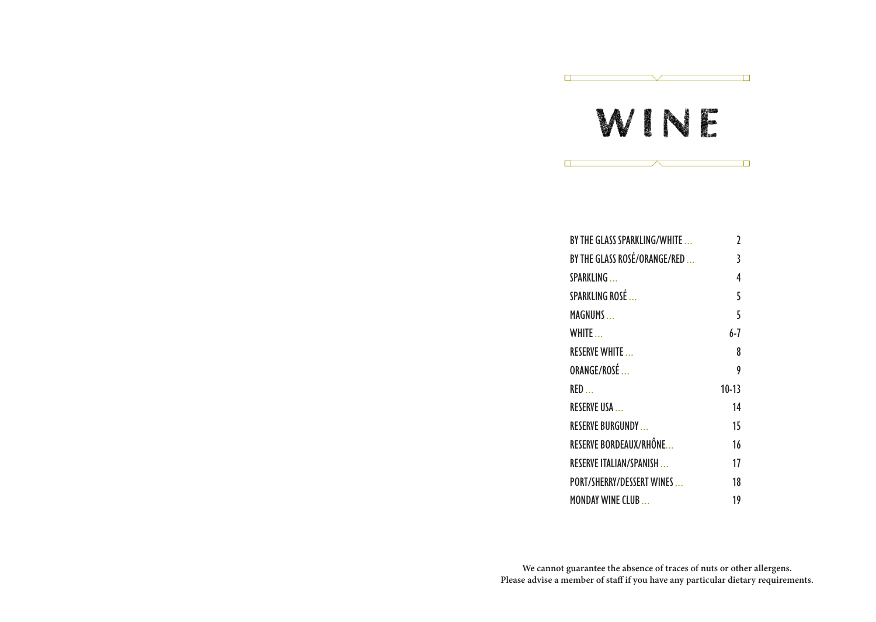# WINE

 $\overline{\phantom{a}}$ 

 $\overline{\phantom{0}}$ 

 $\Box$ 

 $\Box$ 

 $\Box$ 

| BY THE GLASS SPARKLING/WHITE     | 2       |
|----------------------------------|---------|
| BY THE GLASS ROSÉ/ORANGE/RED     | 3       |
| SPARKLING                        | 4       |
| SPARKLING ROSÉ                   | 5       |
| <b>MAGNUMS</b>                   | 5       |
| WHITE                            | 6-7     |
| <b>RESERVE WHITE</b>             | 8       |
| ORANGE/ROSÉ                      | 9       |
| RED                              | $10-13$ |
| <b>RESERVE USA</b>               | 14      |
| <b>RESERVE BURGUNDY</b>          | 15      |
| RESERVE BORDEAUX/RHÔNE           | 16      |
| <b>RESERVE ITALIAN/SPANISH</b>   | 17      |
| <b>PORT/SHERRY/DESSERT WINES</b> | 18      |
| <b>MONDAY WINE CLUB</b>          | 19      |

**We cannot guarantee the absence of traces of nuts or other allergens. Please advise a member of staff if you have any particular dietary requirements.**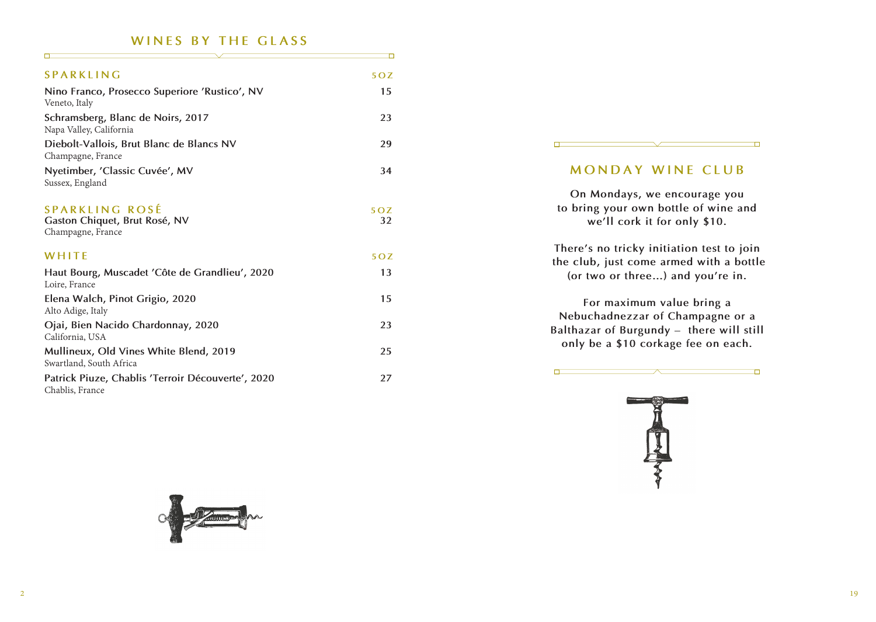#### **WINES BY THE GLASS**

| SPARKLING                                                            | 50Z              |
|----------------------------------------------------------------------|------------------|
| Nino Franco, Prosecco Superiore 'Rustico', NV                        | 15               |
| Veneto, Italy                                                        |                  |
| Schramsberg, Blanc de Noirs, 2017<br>Napa Valley, California         | 23               |
| Diebolt-Vallois, Brut Blanc de Blancs NV<br>Champagne, France        | 29               |
| Nyetimber, 'Classic Cuvée', MV<br>Sussex, England                    | 34               |
|                                                                      |                  |
| <b>SPARKLING ROSÉ</b><br>Gaston Chiquet, Brut Rosé, NV               | 50Z<br>32        |
| Champagne, France                                                    |                  |
| WHITE                                                                | 5 <sub>O</sub> Z |
| Haut Bourg, Muscadet 'Côte de Grandlieu', 2020<br>Loire, France      | 13               |
| Elena Walch, Pinot Grigio, 2020<br>Alto Adige, Italy                 | 15               |
| Ojai, Bien Nacido Chardonnay, 2020<br>California, USA                | 23               |
| Mullineux, Old Vines White Blend, 2019<br>Swartland, South Africa    | 25               |
| Patrick Piuze, Chablis 'Terroir Découverte', 2020<br>Chablis, France | 27               |

#### **MONDAY WINE CLUB**

 $\Box$ 

**On Mondays, we encourage you to bring your own bottle of wine and we'll cork it for only \$10.**

**There's no tricky initiation test to join the club, just come armed with a bottle (or two or three…) and you're in.** 

**For maximum value bring a Nebuchadnezzar of Champagne or a Balthazar of Burgundy – there will still only be a \$10 corkage fee on each.**

 $\top$ 



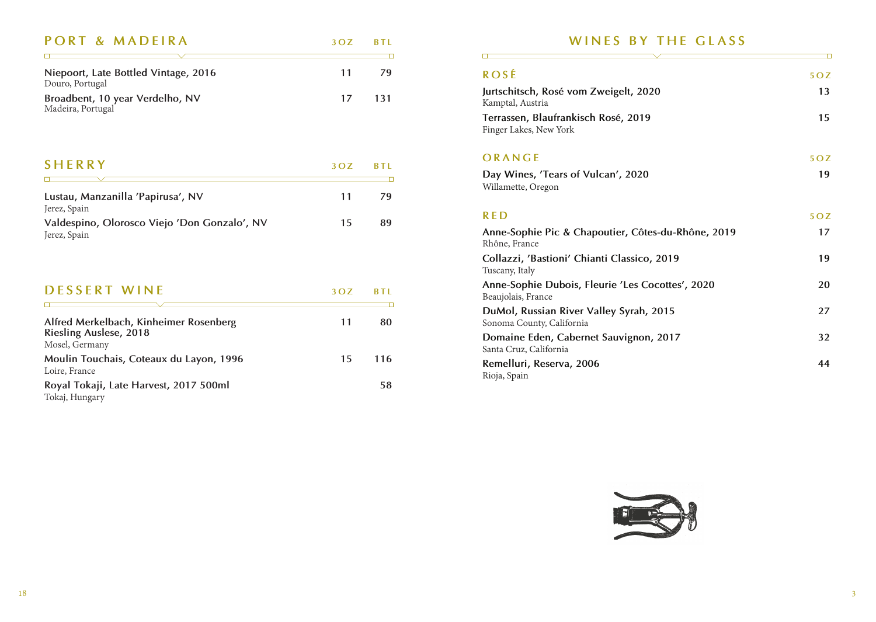| PORT & MADEIRA                                          | $3OZ$ BTL |       |
|---------------------------------------------------------|-----------|-------|
|                                                         |           |       |
| Niepoort, Late Bottled Vintage, 2016<br>Douro, Portugal | 11        | 79    |
| Broadbent, 10 year Verdelho, NV<br>Madeira, Portugal    | 17        | - 131 |

| <b>SHERRY</b>                                                | 3 O Z | <b>BTL</b> |
|--------------------------------------------------------------|-------|------------|
|                                                              |       |            |
| Lustau, Manzanilla 'Papirusa', NV<br>Jerez, Spain            | 11    | 79         |
| Valdespino, Olorosco Viejo 'Don Gonzalo', NV<br>Jerez, Spain | 15    | 89         |

| <b>DESSERT WINE</b>                                                                       | 3 O Z | <b>BTI</b> |
|-------------------------------------------------------------------------------------------|-------|------------|
|                                                                                           |       |            |
| Alfred Merkelbach, Kinheimer Rosenberg<br><b>Riesling Auslese, 2018</b><br>Mosel, Germany |       | 80         |
| Moulin Touchais, Coteaux du Layon, 1996<br>Loire, France                                  | 15    | 116        |
| Royal Tokaji, Late Harvest, 2017 500ml<br>Tokaj, Hungary                                  |       | 58         |

#### **WINES BY THE GLASS**

 $\Box$ 

| 5 <sub>O</sub> Z |
|------------------|
| 13               |
| 15               |
| 5 <sub>O</sub> Z |
| 19               |
| 50Z              |
| 17               |
| 19               |
| 20               |
| 27               |
| 32               |
| 44               |
|                  |

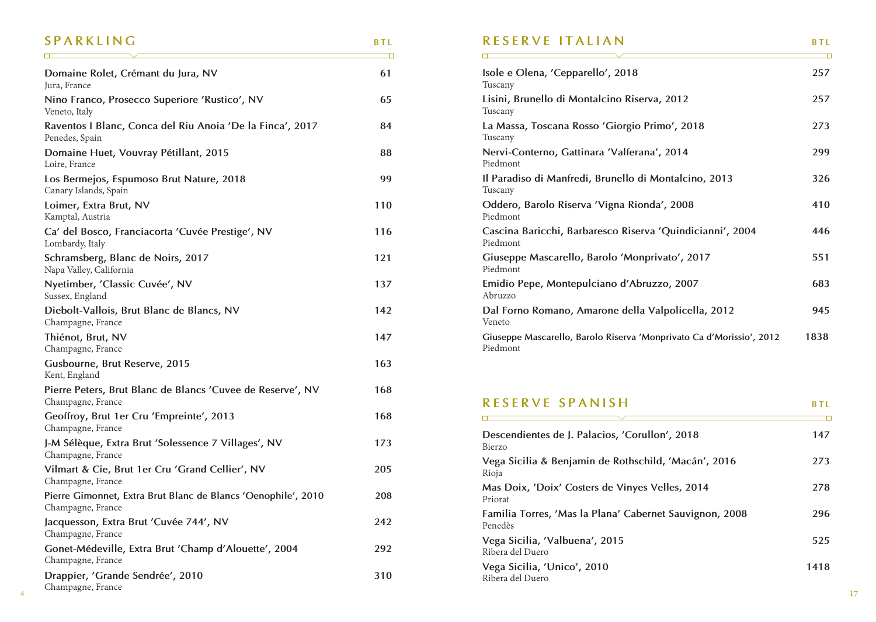#### **SPARKLING BTL**

<u> Tanzania (h. 1888).</u>

|                                                                                    | Ō   | $\Box$                                                                           | Ō          |
|------------------------------------------------------------------------------------|-----|----------------------------------------------------------------------------------|------------|
| Domaine Rolet, Crémant du Jura, NV<br>Jura, France                                 | 61  | Isole e Olena, 'Cepparello', 2018<br>Tuscany                                     | 257        |
| Nino Franco, Prosecco Superiore 'Rustico', NV<br>Veneto, Italy                     | 65  | Lisini, Brunello di Montalcino Riserva, 2012<br>Tuscany                          | 257        |
| Raventos I Blanc, Conca del Riu Anoia 'De la Finca', 2017<br>Penedes, Spain        | 84  | La Massa, Toscana Rosso 'Giorgio Primo', 2018<br>Tuscany                         | 273        |
| Domaine Huet, Vouvray Pétillant, 2015<br>Loire, France                             | 88  | Nervi-Conterno, Gattinara 'Valferana', 2014<br>Piedmont                          | 299        |
| Los Bermejos, Espumoso Brut Nature, 2018<br>Canary Islands, Spain                  | 99  | Il Paradiso di Manfredi, Brunello di Montalcino, 2013<br>Tuscany                 | 326        |
| Loimer, Extra Brut, NV<br>Kamptal, Austria                                         | 110 | Oddero, Barolo Riserva 'Vigna Rionda', 2008<br>Piedmont                          | 410        |
| Ca' del Bosco, Franciacorta 'Cuvée Prestige', NV<br>Lombardy, Italy                | 116 | Cascina Baricchi, Barbaresco Riserva 'Quindicianni', 2004<br>Piedmont            | 446        |
| Schramsberg, Blanc de Noirs, 2017<br>Napa Valley, California                       | 121 | Giuseppe Mascarello, Barolo 'Monprivato', 2017<br>Piedmont                       | 551        |
| Nyetimber, 'Classic Cuvée', NV<br>Sussex, England                                  | 137 | Emidio Pepe, Montepulciano d'Abruzzo, 2007<br>Abruzzo                            | 683        |
| Diebolt-Vallois, Brut Blanc de Blancs, NV<br>Champagne, France                     | 142 | Dal Forno Romano, Amarone della Valpolicella, 2012<br>Veneto                     | 945        |
| Thiénot, Brut, NV<br>Champagne, France                                             | 147 | Giuseppe Mascarello, Barolo Riserva 'Monprivato Ca d'Morissio', 2012<br>Piedmont | 1838       |
| Gusbourne, Brut Reserve, 2015<br>Kent, England                                     | 163 |                                                                                  |            |
| Pierre Peters, Brut Blanc de Blancs 'Cuvee de Reserve', NV<br>Champagne, France    | 168 | <b>RESERVE SPANISH</b>                                                           | <b>BTL</b> |
| Geoffroy, Brut 1er Cru 'Empreinte', 2013<br>Champagne, France                      | 168 | Descendientes de J. Palacios, 'Corullon', 2018                                   | 147        |
| J-M Sélèque, Extra Brut 'Solessence 7 Villages', NV<br>Champagne, France           | 173 | Bierzo                                                                           |            |
| Vilmart & Cie, Brut 1er Cru 'Grand Cellier', NV<br>Champagne, France               | 205 | Vega Sicilia & Benjamin de Rothschild, 'Macán', 2016<br>Rioja                    | 273        |
| Pierre Gimonnet, Extra Brut Blanc de Blancs 'Oenophile', 2010<br>Champagne, France | 208 | Mas Doix, 'Doix' Costers de Vinyes Velles, 2014<br>Priorat                       | 278        |
| Jacquesson, Extra Brut 'Cuvée 744', NV<br>Champagne, France                        | 242 | Familia Torres, 'Mas la Plana' Cabernet Sauvignon, 2008<br>Penedès               | 296        |
| Gonet-Médeville, Extra Brut 'Champ d'Alouette', 2004<br>Champagne, France          | 292 | Vega Sicilia, 'Valbuena', 2015<br>Ribera del Duero                               | 525        |
| Drappier, 'Grande Sendrée', 2010<br>Champagne, France                              | 310 | Vega Sicilia, 'Unico', 2010<br>Ribera del Duero                                  | 1418       |

#### **RESERVE ITALIAN** BTL

| Isole e Olena, 'Cepparello', 2018<br>Tuscany                                     | 257  |
|----------------------------------------------------------------------------------|------|
| Lisini, Brunello di Montalcino Riserva, 2012<br>Tuscany                          | 257  |
| La Massa, Toscana Rosso 'Giorgio Primo', 2018<br>Tuscany                         | 273  |
| Nervi-Conterno, Gattinara 'Valferana', 2014<br>Piedmont                          | 299  |
| Il Paradiso di Manfredi, Brunello di Montalcino, 2013<br>Tuscany                 | 326  |
| Oddero, Barolo Riserva 'Vigna Rionda', 2008<br>Piedmont                          | 410  |
| Cascina Baricchi, Barbaresco Riserva 'Quindicianni', 2004<br>Piedmont            | 446  |
| Giuseppe Mascarello, Barolo 'Monprivato', 2017<br>Piedmont                       | 551  |
| Emidio Pepe, Montepulciano d'Abruzzo, 2007<br>Abruzzo                            | 683  |
| Dal Forno Romano, Amarone della Valpolicella, 2012<br>Veneto                     | 945  |
| Giuseppe Mascarello, Barolo Riserva 'Monprivato Ca d'Morissio', 2012<br>Piedmont | 1838 |

#### **RESERVE SPANISH BTL** <u> El propio de la propio de la propio de la propio de la propio de la propio de la propio de la propio de la p</u>  $\overline{\phantom{0}}$

| Descendientes de J. Palacios, 'Corullon', 2018<br>Bierzo           | 147  |
|--------------------------------------------------------------------|------|
| Vega Sicilia & Benjamin de Rothschild, 'Macán', 2016<br>Rioja      | 273  |
| Mas Doix, 'Doix' Costers de Vinyes Velles, 2014<br>Priorat         | 278  |
| Familia Torres, 'Mas la Plana' Cabernet Sauvignon, 2008<br>Penedès | 296  |
| Vega Sicilia, 'Valbuena', 2015<br>Ribera del Duero                 | 525  |
| Vega Sicilia, 'Unico', 2010<br>Ribera del Duero                    | 1418 |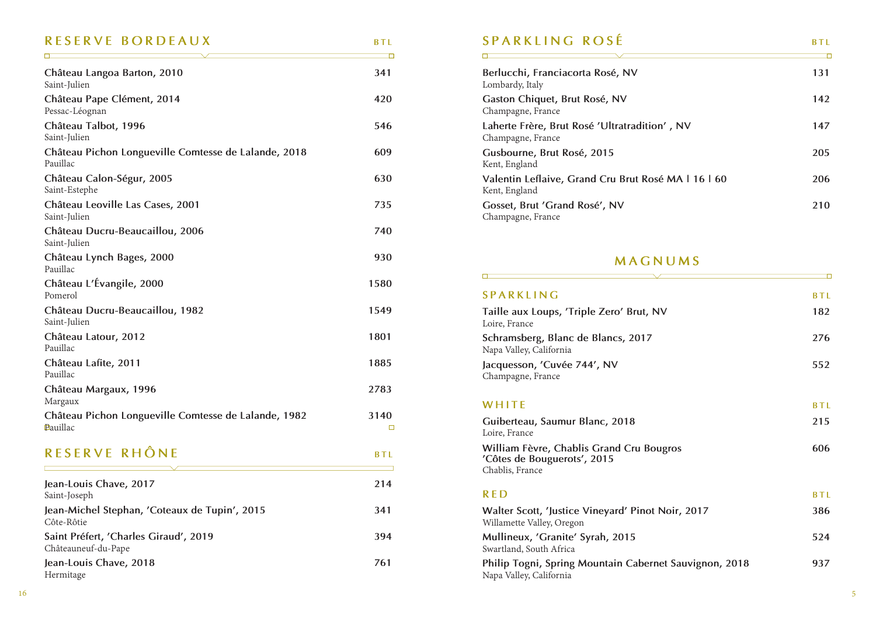# **RESERVE BORDEAUX** BTL

| Château Langoa Barton, 2010<br>Saint-Julien                      | 341            |
|------------------------------------------------------------------|----------------|
| Château Pape Clément, 2014<br>Pessac-Léognan                     | 420            |
| Château Talbot, 1996<br>Saint-Julien                             | 546            |
| Château Pichon Longueville Comtesse de Lalande, 2018<br>Pauillac | 609            |
| Château Calon-Ségur, 2005<br>Saint-Estephe                       | 630            |
| Château Leoville Las Cases, 2001<br>Saint-Julien                 | 735            |
| Château Ducru-Beaucaillou, 2006<br>Saint-Julien                  | 740            |
| Château Lynch Bages, 2000<br>Pauillac                            | 930            |
| Château L'Évangile, 2000<br>Pomerol                              | 1580           |
| Château Ducru-Beaucaillou, 1982<br>Saint-Julien                  | 1549           |
| Château Latour, 2012<br>Pauillac                                 | 1801           |
| Château Lafite, 2011<br>Pauillac                                 | 1885           |
| Château Margaux, 1996<br>Margaux                                 | 2783           |
| Château Pichon Longueville Comtesse de Lalande, 1982<br>Pauillac | 3140<br>$\Box$ |
| RESERVE RHÔNE                                                    | BTL            |
| Jean-Louis Chave, 2017<br>Saint-Joseph                           | 214            |
| Jean-Michel Stephan, 'Coteaux de Tupin', 2015<br>Côte-Rôtie      | 341            |
| Saint Préfert, 'Charles Giraud', 2019<br>Châteauneuf-du-Pape     | 394            |
| Jean-Louis Chave, 2018<br>Hermitage                              | 761            |

### **SPARKLING ROSÉ BTL**

 $\Box$ 

 $\Box$ 

| Berlucchi, Franciacorta Rosé, NV<br>Lombardy, Italy                  | 131 |
|----------------------------------------------------------------------|-----|
| Gaston Chiquet, Brut Rosé, NV<br>Champagne, France                   | 142 |
| Laherte Frère, Brut Rosé 'Ultratradition', NV<br>Champagne, France   | 147 |
| Gusbourne, Brut Rosé, 2015<br>Kent, England                          | 205 |
| Valentin Leflaive, Grand Cru Brut Rosé MA   16   60<br>Kent, England | 206 |
| Gosset, Brut 'Grand Rosé', NV<br>Champagne, France                   | 210 |

#### **MAGNUMS**

| <b>SPARKLING</b>                                                                           | <b>BTL</b> |
|--------------------------------------------------------------------------------------------|------------|
| Taille aux Loups, 'Triple Zero' Brut, NV<br>Loire, France                                  | 182        |
| Schramsberg, Blanc de Blancs, 2017<br>Napa Valley, California                              | 276        |
| Jacquesson, 'Cuvée 744', NV<br>Champagne, France                                           | 552        |
| WHITE                                                                                      | <b>BTL</b> |
| Guiberteau, Saumur Blanc, 2018<br>Loire, France                                            | 215        |
| William Fèvre, Chablis Grand Cru Bougros<br>'Côtes de Bouguerots', 2015<br>Chablis, France | 606        |
| <b>RED</b>                                                                                 | <b>BTL</b> |
| Walter Scott, 'Justice Vineyard' Pinot Noir, 2017<br>Willamette Valley, Oregon             | 386        |
| Mullineux, 'Granite' Syrah, 2015<br>Swartland, South Africa                                | 524        |
| Philip Togni, Spring Mountain Cabernet Sauvignon, 2018<br>Napa Valley, California          | 937        |

 $\overline{\phantom{0}}$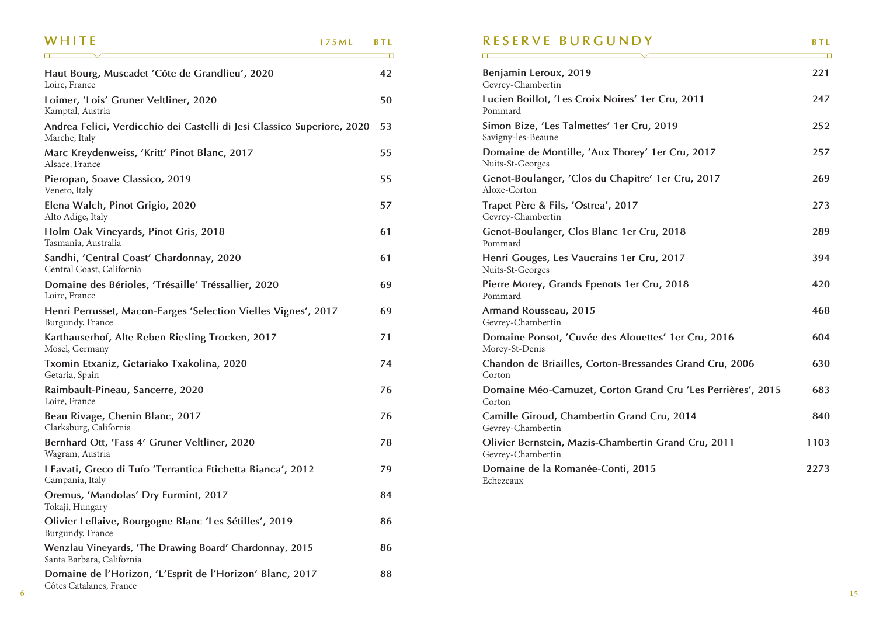| WHITF                                                                                    | 175ML | <b>BTL</b><br>┲ |
|------------------------------------------------------------------------------------------|-------|-----------------|
| Haut Bourg, Muscadet 'Côte de Grandlieu', 2020<br>Loire, France                          |       | 42              |
| Loimer, 'Lois' Gruner Veltliner, 2020<br>Kamptal, Austria                                |       | 50              |
| Andrea Felici, Verdicchio dei Castelli di Jesi Classico Superiore, 2020<br>Marche, Italy |       | 53              |
| Marc Kreydenweiss, 'Kritt' Pinot Blanc, 2017<br>Alsace, France                           |       | 55              |
| Pieropan, Soave Classico, 2019<br>Veneto, Italy                                          |       | 55              |
| Elena Walch, Pinot Grigio, 2020<br>Alto Adige, Italy                                     |       | 57              |
| Holm Oak Vineyards, Pinot Gris, 2018<br>Tasmania, Australia                              |       | 61              |
| Sandhi, 'Central Coast' Chardonnay, 2020<br>Central Coast, California                    |       | 61              |
| Domaine des Bérioles, 'Trésaille' Tréssallier, 2020<br>Loire, France                     |       | 69              |
| Henri Perrusset, Macon-Farges 'Selection Vielles Vignes', 2017<br>Burgundy, France       |       | 69              |
| Karthauserhof, Alte Reben Riesling Trocken, 2017<br>Mosel, Germany                       |       | 71              |
| Txomin Etxaniz, Getariako Txakolina, 2020<br>Getaria, Spain                              |       | 74              |
| Raimbault-Pineau, Sancerre, 2020<br>Loire, France                                        |       | 76              |
| Beau Rivage, Chenin Blanc, 2017<br>Clarksburg, California                                |       | 76              |
| Bernhard Ott, 'Fass 4' Gruner Veltliner, 2020<br>Wagram, Austria                         |       | 78              |
| I Favati, Greco di Tufo 'Terrantica Etichetta Bianca', 2012<br>Campania, Italy           |       | 79              |
| Oremus, 'Mandolas' Dry Furmint, 2017<br>Tokaji, Hungary                                  |       | 84              |
| Olivier Leflaive, Bourgogne Blanc 'Les Sétilles', 2019<br>Burgundy, France               |       | 86              |
| Wenzlau Vineyards, 'The Drawing Board' Chardonnay, 2015<br>Santa Barbara, California     |       | 86              |
| Domaine de l'Horizon, 'L'Esprit de l'Horizon' Blanc, 2017<br>Côtes Catalanes, France     |       | 88              |

#### **RESERVE BURGUNDY** BTL

<u> The Communication of the Communication of the Communication of the Communication of the Communication of the Communication of the Communication of the Communication of the Communication of the Communication of the Commun</u>

| Benjamin Leroux, 2019<br>Gevrey-Chambertin                               | 221  |
|--------------------------------------------------------------------------|------|
| Lucien Boillot, 'Les Croix Noires' 1er Cru, 2011<br>Pommard              | 247  |
| Simon Bize, 'Les Talmettes' 1er Cru, 2019<br>Savigny-les-Beaune          | 252  |
| Domaine de Montille, 'Aux Thorey' 1er Cru, 2017<br>Nuits-St-Georges      | 257  |
| Genot-Boulanger, 'Clos du Chapitre' 1er Cru, 2017<br>Aloxe-Corton        | 269  |
| Trapet Père & Fils, 'Ostrea', 2017<br>Gevrey-Chambertin                  | 273  |
| Genot-Boulanger, Clos Blanc 1er Cru, 2018<br>Pommard                     | 289  |
| Henri Gouges, Les Vaucrains 1er Cru, 2017<br>Nuits-St-Georges            | 394  |
| Pierre Morey, Grands Epenots 1er Cru, 2018<br>Pommard                    | 420  |
| Armand Rousseau, 2015<br>Gevrey-Chambertin                               | 468  |
| Domaine Ponsot, 'Cuvée des Alouettes' 1er Cru, 2016<br>Morey-St-Denis    | 604  |
| Chandon de Briailles, Corton-Bressandes Grand Cru, 2006<br>Corton        | 630  |
| Domaine Méo-Camuzet, Corton Grand Cru 'Les Perrières', 2015<br>Corton    | 683  |
| Camille Giroud, Chambertin Grand Cru, 2014<br>Gevrey-Chambertin          | 840  |
| Olivier Bernstein, Mazis-Chambertin Grand Cru, 2011<br>Gevrey-Chambertin | 1103 |
| Domaine de la Romanée-Conti, 2015<br>Echezeaux                           | 2273 |

6

 $\overline{\phantom{0}}$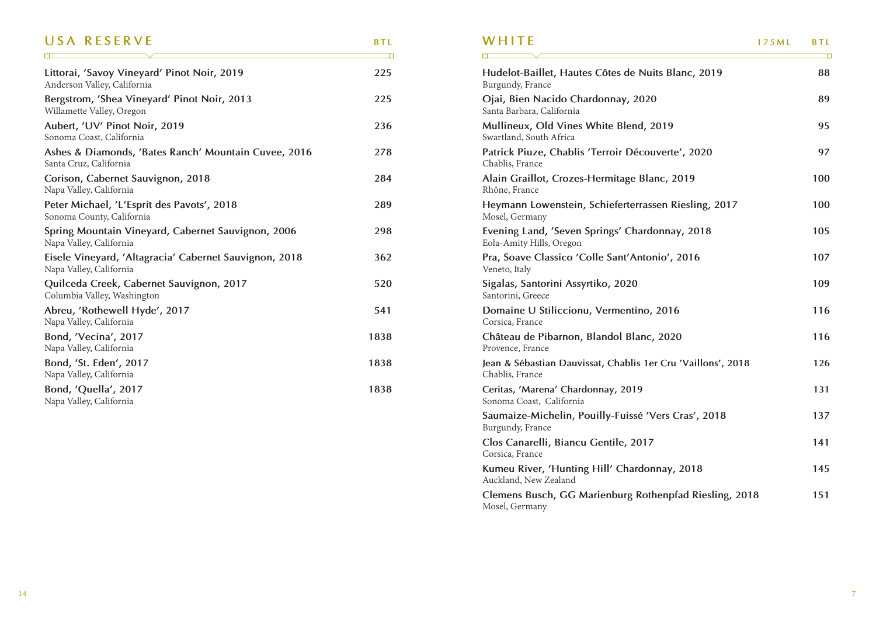#### USA RESERVE **BTL**

 $\overline{\phantom{0}}$ 

| Littorai, 'Savoy Vineyard' Pinot Noir, 2019<br>Anderson Valley, California        | 225  |
|-----------------------------------------------------------------------------------|------|
| Bergstrom, 'Shea Vineyard' Pinot Noir, 2013<br>Willamette Valley, Oregon          | 225  |
| Aubert, 'UV' Pinot Noir, 2019<br>Sonoma Coast, California                         | 236  |
| Ashes & Diamonds, 'Bates Ranch' Mountain Cuvee, 2016<br>Santa Cruz, California    | 278  |
| Corison, Cabernet Sauvignon, 2018<br>Napa Valley, California                      | 284  |
| Peter Michael, 'L'Esprit des Pavots', 2018<br>Sonoma County, California           | 289  |
| Spring Mountain Vineyard, Cabernet Sauvignon, 2006<br>Napa Valley, California     | 298  |
| Eisele Vineyard, 'Altagracia' Cabernet Sauvignon, 2018<br>Napa Valley, California | 362  |
| Quilceda Creek, Cabernet Sauvignon, 2017<br>Columbia Valley, Washington           | 520  |
| Abreu, 'Rothewell Hyde', 2017<br>Napa Valley, California                          | 541  |
| Bond, 'Vecina', 2017<br>Napa Valley, California                                   | 1838 |
| Bond, 'St. Eden', 2017<br>Napa Valley, California                                 | 1838 |
| Bond, 'Quella', 2017<br>Napa Valley, California                                   | 1838 |

| WHITF                                                                           | 175ML | <b>BTL</b> |
|---------------------------------------------------------------------------------|-------|------------|
| Hudelot-Baillet, Hautes Côtes de Nuits Blanc, 2019<br>Burgundy, France          |       | 88         |
| Ojai, Bien Nacido Chardonnay, 2020<br>Santa Barbara, California                 |       | 89         |
| Mullineux, Old Vines White Blend, 2019<br>Swartland, South Africa               |       | 95         |
| Patrick Piuze, Chablis 'Terroir Découverte', 2020<br>Chablis, France            |       | 97         |
| Alain Graillot, Crozes-Hermitage Blanc, 2019<br>Rhône, France                   |       | 100        |
| Heymann Lowenstein, Schieferterrassen Riesling, 2017<br>Mosel, Germany          |       | 100        |
| Evening Land, 'Seven Springs' Chardonnay, 2018<br>Eola-Amity Hills, Oregon      |       | 105        |
| Pra, Soave Classico 'Colle Sant'Antonio', 2016<br>Veneto, Italy                 |       | 107        |
| Sigalas, Santorini Assyrtiko, 2020<br>Santorini, Greece                         |       | 109        |
| Domaine U Stiliccionu, Vermentino, 2016<br>Corsica, France                      |       | 116        |
| Château de Pibarnon, Blandol Blanc, 2020<br>Provence, France                    |       | 116        |
| Jean & Sébastian Dauvissat, Chablis 1er Cru 'Vaillons', 2018<br>Chablis, France |       | 126        |
| Ceritas, 'Marena' Chardonnay, 2019<br>Sonoma Coast, California                  |       | 131        |
| Saumaize-Michelin, Pouilly-Fuissé 'Vers Cras', 2018<br>Burgundy, France         |       | 137        |
| Clos Canarelli, Biancu Gentile, 2017<br>Corsica, France                         |       | 141        |
| Kumeu River, 'Hunting Hill' Chardonnay, 2018<br>Auckland, New Zealand           |       | 145        |
| Clemens Busch, GG Marienburg Rothenpfad Riesling, 2018<br>Mosel, Germany        |       | 151        |
|                                                                                 |       |            |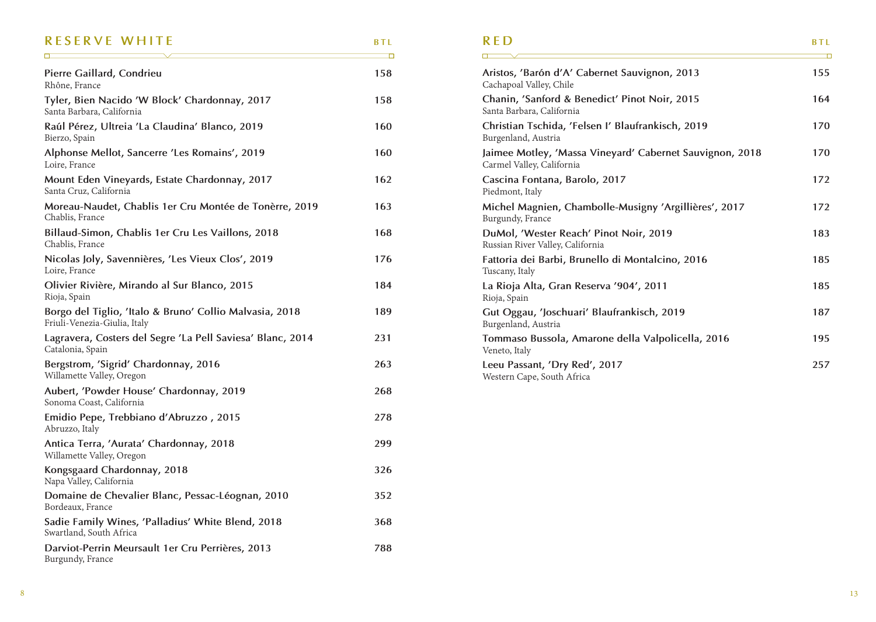#### **RESERVE WHITE** BTL

 $\Box$ 

 $\Box$ 

| Pierre Gaillard, Condrieu<br>Rhône, France                                              | 158 |
|-----------------------------------------------------------------------------------------|-----|
| Tyler, Bien Nacido 'W Block' Chardonnay, 2017<br>Santa Barbara, California              | 158 |
| Raúl Pérez, Ultreia 'La Claudina' Blanco, 2019<br>Bierzo, Spain                         | 160 |
| Alphonse Mellot, Sancerre 'Les Romains', 2019<br>Loire, France                          | 160 |
| Mount Eden Vineyards, Estate Chardonnay, 2017<br>Santa Cruz, California                 | 162 |
| Moreau-Naudet, Chablis 1er Cru Montée de Tonèrre, 2019<br>Chablis, France               | 163 |
| Billaud-Simon, Chablis 1er Cru Les Vaillons, 2018<br>Chablis, France                    | 168 |
| Nicolas Joly, Savennières, 'Les Vieux Clos', 2019<br>Loire, France                      | 176 |
| Olivier Rivière, Mirando al Sur Blanco, 2015<br>Rioja, Spain                            | 184 |
| Borgo del Tiglio, 'Italo & Bruno' Collio Malvasia, 2018<br>Friuli-Venezia-Giulia, Italy | 189 |
| Lagravera, Costers del Segre 'La Pell Saviesa' Blanc, 2014<br>Catalonia, Spain          | 231 |
| Bergstrom, 'Sigrid' Chardonnay, 2016<br>Willamette Valley, Oregon                       | 263 |
| Aubert, 'Powder House' Chardonnay, 2019<br>Sonoma Coast, California                     | 268 |
| Emidio Pepe, Trebbiano d'Abruzzo, 2015<br>Abruzzo, Italy                                | 278 |
| Antica Terra, 'Aurata' Chardonnay, 2018<br>Willamette Valley, Oregon                    | 299 |
| Kongsgaard Chardonnay, 2018<br>Napa Valley, California                                  | 326 |
| Domaine de Chevalier Blanc, Pessac-Léognan, 2010<br>Bordeaux, France                    | 352 |
| Sadie Family Wines, 'Palladius' White Blend, 2018<br>Swartland, South Africa            | 368 |
| Darviot-Perrin Meursault 1er Cru Perrières, 2013<br>Burgundy, France                    | 788 |

## **RED BTL Aristos, 'Barón d'A' Cabernet Sauvignon, 2013 155** Cachapoal Valley, Chile **Chanin, 'Sanford & Benedict' Pinot Noir, 2015 164**

| Santa Barbara, California                                                             |     |
|---------------------------------------------------------------------------------------|-----|
| Christian Tschida, 'Felsen I' Blaufrankisch, 2019<br>Burgenland, Austria              | 170 |
| Jaimee Motley, 'Massa Vineyard' Cabernet Sauvignon, 2018<br>Carmel Valley, California | 170 |
| Cascina Fontana, Barolo, 2017<br>Piedmont, Italy                                      | 172 |
| Michel Magnien, Chambolle-Musigny 'Argillières', 2017<br>Burgundy, France             | 172 |
| DuMol, 'Wester Reach' Pinot Noir, 2019<br>Russian River Valley, California            | 183 |
| Fattoria dei Barbi, Brunello di Montalcino, 2016<br>Tuscany, Italy                    | 185 |
| La Rioja Alta, Gran Reserva '904', 2011<br>Rioja, Spain                               | 185 |
| Gut Oggau, 'Joschuari' Blaufrankisch, 2019<br>Burgenland, Austria                     | 187 |
| Tommaso Bussola, Amarone della Valpolicella, 2016<br>Veneto, Italy                    | 195 |
| Leeu Passant, 'Dry Red', 2017<br>Western Cape, South Africa                           | 257 |

 $\Box$ 

 $\overline{\phantom{0}}$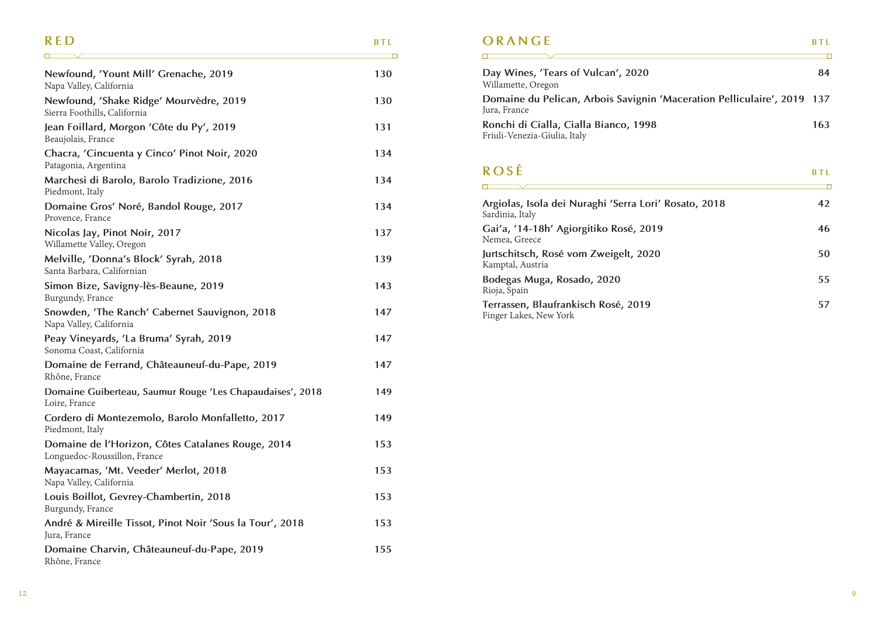#### **RED** BTL  $\overline{\phantom{a}}$

| Newfound, 'Yount Mill' Grenache, 2019<br>Napa Valley, California                  | 130 |
|-----------------------------------------------------------------------------------|-----|
| Newfound, 'Shake Ridge' Mourvèdre, 2019<br>Sierra Foothills, California           | 130 |
| Jean Foillard, Morgon 'Côte du Py', 2019<br>Beaujolais, France                    | 131 |
| Chacra, 'Cincuenta y Cinco' Pinot Noir, 2020<br>Patagonia, Argentina              | 134 |
| Marchesi di Barolo, Barolo Tradizione, 2016<br>Piedmont, Italy                    | 134 |
| Domaine Gros' Noré, Bandol Rouge, 2017<br>Provence, France                        | 134 |
| Nicolas Jay, Pinot Noir, 2017<br>Willamette Valley, Oregon                        | 137 |
| Melville, 'Donna's Block' Syrah, 2018<br>Santa Barbara, Californian               | 139 |
| Simon Bize, Savigny-lès-Beaune, 2019<br>Burgundy, France                          | 143 |
| Snowden, 'The Ranch' Cabernet Sauvignon, 2018<br>Napa Valley, California          | 147 |
| Peay Vineyards, 'La Bruma' Syrah, 2019<br>Sonoma Coast, California                | 147 |
| Domaine de Ferrand, Châteauneuf-du-Pape, 2019<br>Rhône, France                    | 147 |
| Domaine Guiberteau, Saumur Rouge 'Les Chapaudaises', 2018<br>Loire, France        | 149 |
| Cordero di Montezemolo, Barolo Monfalletto, 2017<br>Piedmont, Italy               | 149 |
| Domaine de l'Horizon, Côtes Catalanes Rouge, 2014<br>Longuedoc-Roussillon, France | 153 |
| Mayacamas, 'Mt. Veeder' Merlot, 2018<br>Napa Valley, California                   | 153 |
| Louis Boillot, Gevrey-Chambertin, 2018<br>Burgundy, France                        | 153 |
| André & Mireille Tissot, Pinot Noir 'Sous la Tour', 2018<br>Jura, France          | 153 |
| Domaine Charvin, Châteauneuf-du-Pape, 2019<br>Rhône, France                       | 155 |

# **ORANGE**

 $\overline{\phantom{a}}$ 

 $\overline{\phantom{0}}$ 

| Day Wines, 'Tears of Vulcan', 2020<br>Willamette, Oregon                                | 84  |
|-----------------------------------------------------------------------------------------|-----|
| Domaine du Pelican, Arbois Savignin 'Maceration Pelliculaire', 2019 137<br>Jura, France |     |
| Ronchi di Cialla, Cialla Bianco, 1998<br>Friuli-Venezia-Giulia, Italy                   | 163 |

## **ROSÉ BTL**

| Argiolas, Isola dei Nuraghi 'Serra Lori' Rosato, 2018<br>Sardinia, Italy | 42 |
|--------------------------------------------------------------------------|----|
| Gai'a, '14-18h' Agiorgitiko Rosé, 2019<br>Nemea, Greece                  | 46 |
| Jurtschitsch, Rosé vom Zweigelt, 2020<br>Kamptal, Austria                | 50 |
| Bodegas Muga, Rosado, 2020<br>Rioja, Spain                               | 55 |
| Terrassen, Blaufrankisch Rosé, 2019<br>Finger Lakes, New York            | 57 |